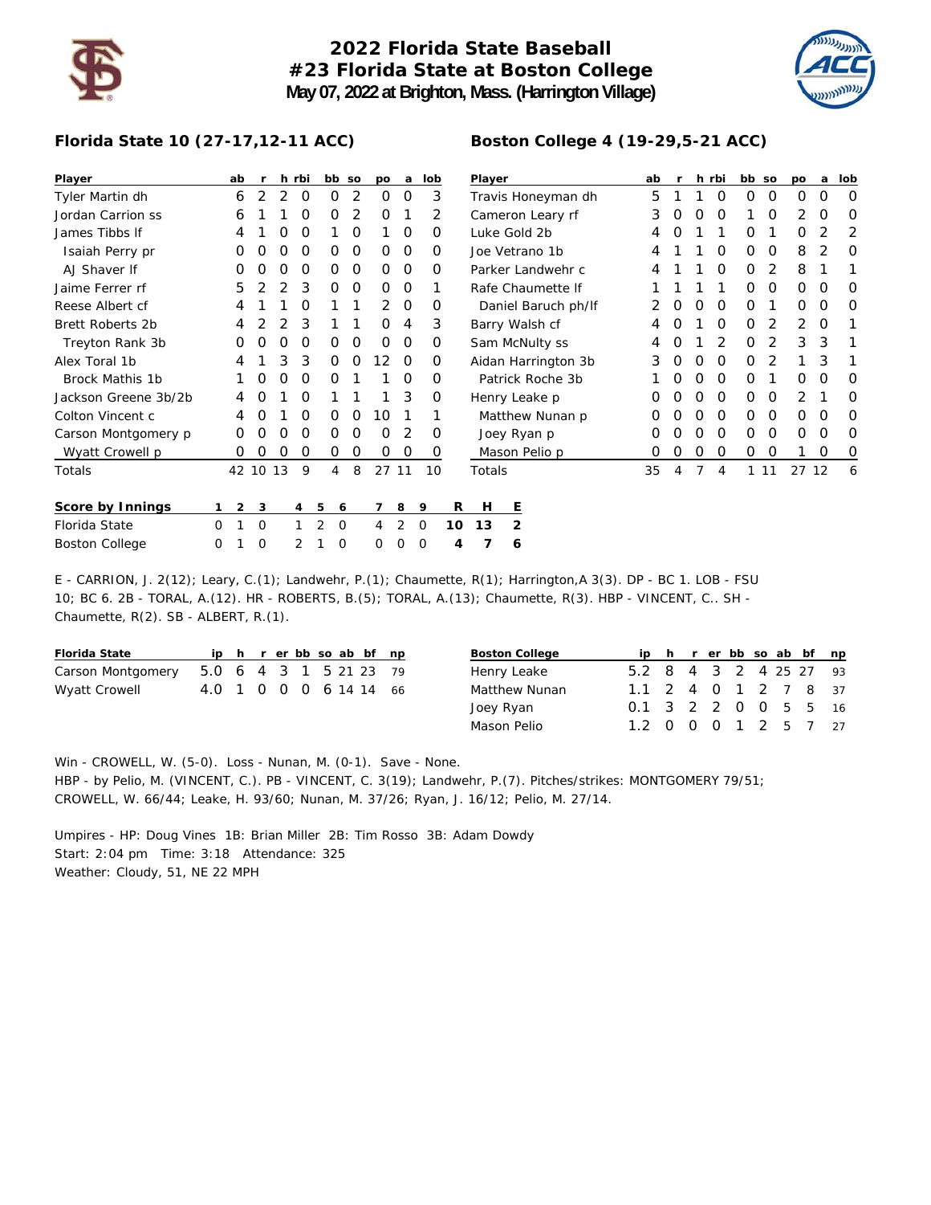

## **2022 Florida State Baseball #23 Florida State at Boston College May 07, 2022 at Brighton, Mass. (Harrington Village)**



## **Florida State 10 (27-17,12-11 ACC)**

| Player                  |   | ab       | r        | h  | rbi |   | bb so | po       | a        | lob |    | Player           |             |                     |  | ab | r |   | h rbi    | bb so |    | po    | a | lob         |
|-------------------------|---|----------|----------|----|-----|---|-------|----------|----------|-----|----|------------------|-------------|---------------------|--|----|---|---|----------|-------|----|-------|---|-------------|
| Tyler Martin dh         |   | 6        | 2        | 2  | 0   | 0 | 2     | $\Omega$ | 0        | 3   |    |                  |             | Travis Honeyman dh  |  | 5  |   |   | 0        | 0     | 0  | 0     | 0 | $\mathbf 0$ |
| Jordan Carrion ss       |   | 6        |          |    | O   | 0 | 2     | $\Omega$ |          | 2   |    | Cameron Leary rf |             |                     |  | 3  | 0 | 0 | 0        |       | O  | 2     | O | 0           |
| James Tibbs If          |   | 4        |          | O  | O   |   | 0     |          | $\Omega$ | 0   |    | Luke Gold 2b     |             |                     |  | 4  | Ω |   |          | O     |    | 0     | 2 | 2           |
| Isaiah Perry pr         |   | 0        | Ω        | Ω  | O   | 0 | 0     | $\Omega$ | $\Omega$ | 0   |    | Joe Vetrano 1b   |             |                     |  | 4  |   |   | O        | 0     | 0  | 8     | 2 | 0           |
| AJ Shaver If            |   | 0        | O        | O  | O   | 0 | 0     | $\Omega$ | $\Omega$ | 0   |    |                  |             | Parker Landwehr c   |  | 4  |   |   | $\Omega$ | 0     | 2  | 8     |   |             |
| Jaime Ferrer rf         |   | 5        |          |    | 3   | 0 | 0     | $\Omega$ | $\Omega$ |     |    |                  |             | Rafe Chaumette If   |  |    |   |   |          | 0     | 0  | 0     | O | 0           |
| Reese Albert cf         |   | 4        |          |    | O   |   |       | 2        | 0        | 0   |    |                  |             | Daniel Baruch ph/lf |  |    | Ω | O | 0        | 0     |    | 0     | 0 | 0           |
| <b>Brett Roberts 2b</b> |   | 4        |          |    | 3   |   |       | 0        | 4        | 3   |    | Barry Walsh cf   |             |                     |  | 4  | 0 |   | 0        | 0     | 2  | 2     | 0 |             |
| Treyton Rank 3b         |   | 0        | O        |    | O   | 0 | 0     | $\Omega$ | 0        | 0   |    |                  |             | Sam McNulty ss      |  | 4  | O |   | 2        | 0     | 2  | 3     | 3 |             |
| Alex Toral 1b           |   | 4        |          | 3  | 3   | 0 | 0     | 12       | $\Omega$ | 0   |    |                  |             | Aidan Harrington 3b |  | 3  | O | O | $\Omega$ | 0     | 2  |       | 3 |             |
| Brock Mathis 1b         |   |          |          |    | O   | 0 |       |          | $\Omega$ | 0   |    |                  |             | Patrick Roche 3b    |  |    |   | Ο | 0        | O     |    | 0     | O | 0           |
| Jackson Greene 3b/2b    |   | 4        | O        |    | O   |   |       |          | 3        | 0   |    | Henry Leake p    |             |                     |  | O  | 0 | 0 | $\Omega$ | 0     | 0  | 2     |   | 0           |
| Colton Vincent c        |   | 4        | O        |    | O   | 0 | 0     | 10       |          |     |    |                  |             | Matthew Nunan p     |  | 0  | 0 | O | 0        | 0     | 0  | 0     | O | 0           |
| Carson Montgomery p     |   | 0        | $\left($ |    | O   | 0 | 0     | $\Omega$ | 2        | O   |    |                  | Joey Ryan p |                     |  | Ο  |   | O | 0        | O     | O  | O     | O | 0           |
| Wyatt Crowell p         |   | $\Omega$ | 0        | O  | O   | 0 | 0     | $\Omega$ | 0        | 0   |    |                  |             | Mason Pelio p       |  | 0  | 0 | O | $\Omega$ | 0     | O  |       | O | 0           |
| Totals                  |   | 42       | 10       | 13 | 9   | 4 | 8     | 27 11    |          | 10  |    | Totals           |             |                     |  | 35 | 4 | 7 | 4        | 1     | 11 | 27 12 |   | 6           |
| <b>Score by Innings</b> | 1 | 2        | 3        |    | 4   | 5 | 6     | 7        | 8        | 9   | R  | н                | Е           |                     |  |    |   |   |          |       |    |       |   |             |
| Florida State           | 0 |          | 0        |    |     | 2 | 0     | 4        | 2        | 0   | 10 | 13               | 2           |                     |  |    |   |   |          |       |    |       |   |             |
| <b>Boston College</b>   | 0 |          | 0        |    | 2   |   | 0     | 0        | O        | 0   | 4  |                  | 6           |                     |  |    |   |   |          |       |    |       |   |             |

E - CARRION, J. 2(12); Leary, C.(1); Landwehr, P.(1); Chaumette, R(1); Harrington,A 3(3). DP - BC 1. LOB - FSU 10; BC 6. 2B - TORAL, A.(12). HR - ROBERTS, B.(5); TORAL, A.(13); Chaumette, R(3). HBP - VINCENT, C.. SH - Chaumette, R(2). SB - ALBERT, R.(1).

| <b>Florida State</b>                     |                        |  |  |  | ip h r er bb so ab bf np |
|------------------------------------------|------------------------|--|--|--|--------------------------|
| Carson Montgomery 5.0 6 4 3 1 5 21 23 79 |                        |  |  |  |                          |
| Wyatt Crowell                            | 4.0 1 0 0 0 6 14 14 66 |  |  |  |                          |

| <b>Boston College</b> |                        |  |  |  | ip h r er bb so ab bf np |
|-----------------------|------------------------|--|--|--|--------------------------|
| Henry Leake           | 5.2 8 4 3 2 4 25 27 93 |  |  |  |                          |
| <b>Matthew Nunan</b>  | 1.1 2 4 0 1 2 7 8 37   |  |  |  |                          |
| Joey Ryan             | 0.1 3 2 2 0 0 5 5      |  |  |  | 16                       |
| Mason Pelio           | 1.2 0 0 0 1 2 5 7 27   |  |  |  |                          |

**Boston College 4 (19-29,5-21 ACC)**

Win - CROWELL, W. (5-0). Loss - Nunan, M. (0-1). Save - None. HBP - by Pelio, M. (VINCENT, C.). PB - VINCENT, C. 3(19); Landwehr, P.(7). Pitches/strikes: MONTGOMERY 79/51;

CROWELL, W. 66/44; Leake, H. 93/60; Nunan, M. 37/26; Ryan, J. 16/12; Pelio, M. 27/14.

Umpires - HP: Doug Vines 1B: Brian Miller 2B: Tim Rosso 3B: Adam Dowdy Start: 2:04 pm Time: 3:18 Attendance: 325 Weather: Cloudy, 51, NE 22 MPH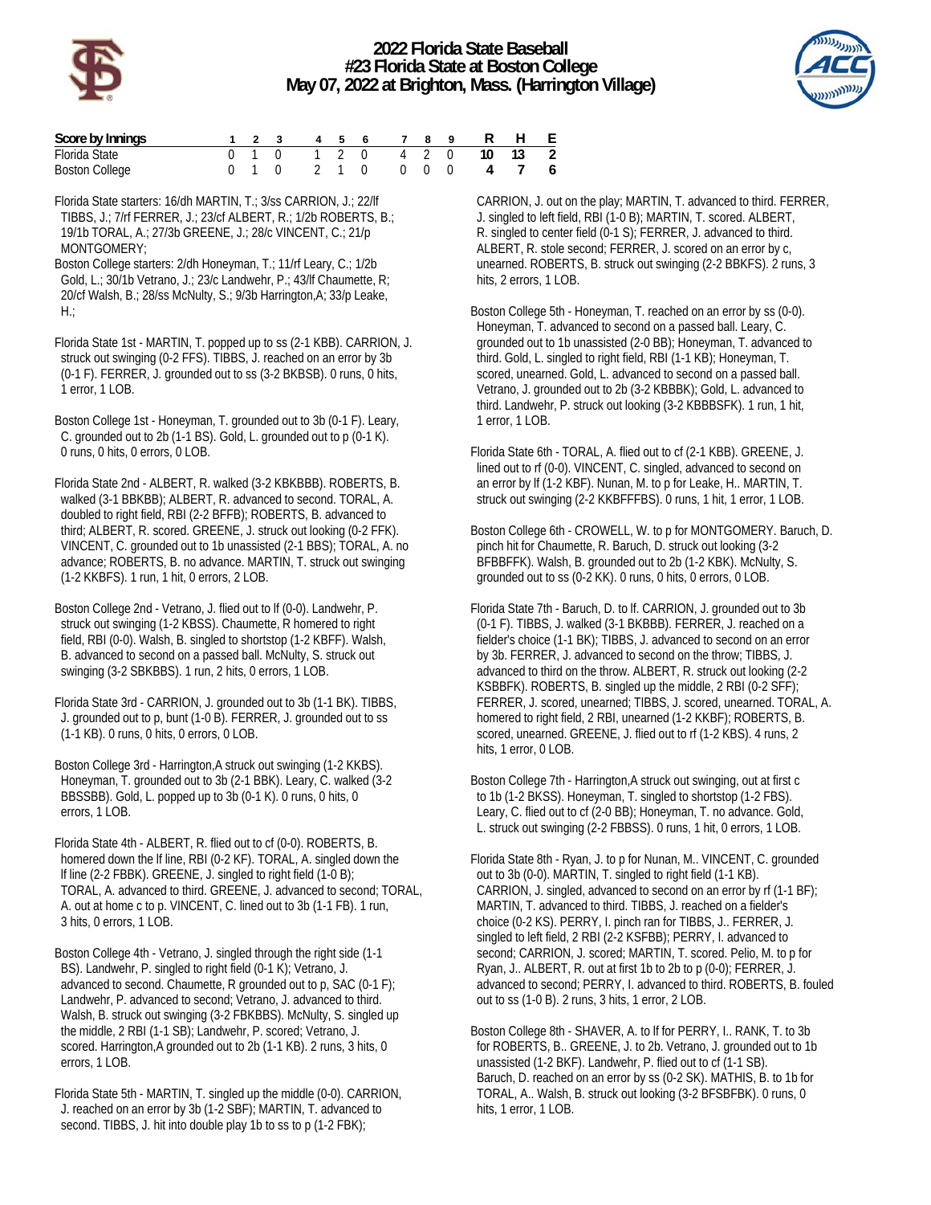



| Score by Innings      |  |  |  | 1 2 3 4 5 6 7 8 9 R H E   |  |  |  |
|-----------------------|--|--|--|---------------------------|--|--|--|
| Florida State         |  |  |  | 0 1 0 1 2 0 4 2 0 10 13 2 |  |  |  |
| <b>Boston College</b> |  |  |  | 0 1 0 2 1 0 0 0 0 4 7 6   |  |  |  |

Florida State starters: 16/dh MARTIN, T.; 3/ss CARRION, J.; 22/lf TIBBS, J.; 7/rf FERRER, J.; 23/cf ALBERT, R.; 1/2b ROBERTS, B.; 19/1b TORAL, A.; 27/3b GREENE, J.; 28/c VINCENT, C.; 21/p MONTGOMERY;

Boston College starters: 2/dh Honeyman, T.; 11/rf Leary, C.; 1/2b Gold, L.; 30/1b Vetrano, J.; 23/c Landwehr, P.; 43/lf Chaumette, R; 20/cf Walsh, B.; 28/ss McNulty, S.; 9/3b Harrington,A; 33/p Leake,  $H$  :

Florida State 1st - MARTIN, T. popped up to ss (2-1 KBB). CARRION, J. struck out swinging (0-2 FFS). TIBBS, J. reached on an error by 3b (0-1 F). FERRER, J. grounded out to ss (3-2 BKBSB). 0 runs, 0 hits, 1 error, 1 LOB.

Boston College 1st - Honeyman, T. grounded out to 3b (0-1 F). Leary, C. grounded out to 2b (1-1 BS). Gold, L. grounded out to p (0-1 K). 0 runs, 0 hits, 0 errors, 0 LOB.

Florida State 2nd - ALBERT, R. walked (3-2 KBKBBB). ROBERTS, B. walked (3-1 BBKBB); ALBERT, R. advanced to second. TORAL, A. doubled to right field, RBI (2-2 BFFB); ROBERTS, B. advanced to third; ALBERT, R. scored. GREENE, J. struck out looking (0-2 FFK). VINCENT, C. grounded out to 1b unassisted (2-1 BBS); TORAL, A. no advance; ROBERTS, B. no advance. MARTIN, T. struck out swinging (1-2 KKBFS). 1 run, 1 hit, 0 errors, 2 LOB.

Boston College 2nd - Vetrano, J. flied out to lf (0-0). Landwehr, P. struck out swinging (1-2 KBSS). Chaumette, R homered to right field, RBI (0-0). Walsh, B. singled to shortstop (1-2 KBFF). Walsh, B. advanced to second on a passed ball. McNulty, S. struck out swinging (3-2 SBKBBS). 1 run, 2 hits, 0 errors, 1 LOB.

Florida State 3rd - CARRION, J. grounded out to 3b (1-1 BK). TIBBS, J. grounded out to p, bunt (1-0 B). FERRER, J. grounded out to ss (1-1 KB). 0 runs, 0 hits, 0 errors, 0 LOB.

Boston College 3rd - Harrington,A struck out swinging (1-2 KKBS). Honeyman, T. grounded out to 3b (2-1 BBK). Leary, C. walked (3-2 BBSSBB). Gold, L. popped up to 3b (0-1 K). 0 runs, 0 hits, 0 errors, 1 LOB.

Florida State 4th - ALBERT, R. flied out to cf (0-0). ROBERTS, B. homered down the lf line, RBI (0-2 KF). TORAL, A. singled down the lf line (2-2 FBBK). GREENE, J. singled to right field (1-0 B); TORAL, A. advanced to third. GREENE, J. advanced to second; TORAL, A. out at home c to p. VINCENT, C. lined out to 3b (1-1 FB). 1 run, 3 hits, 0 errors, 1 LOB.

Boston College 4th - Vetrano, J. singled through the right side (1-1 BS). Landwehr, P. singled to right field (0-1 K); Vetrano, J. advanced to second. Chaumette, R grounded out to p, SAC (0-1 F); Landwehr, P. advanced to second; Vetrano, J. advanced to third. Walsh, B. struck out swinging (3-2 FBKBBS). McNulty, S. singled up the middle, 2 RBI (1-1 SB); Landwehr, P. scored; Vetrano, J. scored. Harrington,A grounded out to 2b (1-1 KB). 2 runs, 3 hits, 0 errors, 1 LOB.

Florida State 5th - MARTIN, T. singled up the middle (0-0). CARRION, J. reached on an error by 3b (1-2 SBF); MARTIN, T. advanced to second. TIBBS, J. hit into double play 1b to ss to p (1-2 FBK);

 CARRION, J. out on the play; MARTIN, T. advanced to third. FERRER, J. singled to left field, RBI (1-0 B); MARTIN, T. scored. ALBERT, R. singled to center field (0-1 S); FERRER, J. advanced to third. ALBERT, R. stole second; FERRER, J. scored on an error by c, unearned. ROBERTS, B. struck out swinging (2-2 BBKFS). 2 runs, 3 hits, 2 errors, 1 LOB.

Boston College 5th - Honeyman, T. reached on an error by ss (0-0). Honeyman, T. advanced to second on a passed ball. Leary, C. grounded out to 1b unassisted (2-0 BB); Honeyman, T. advanced to third. Gold, L. singled to right field, RBI (1-1 KB); Honeyman, T. scored, unearned. Gold, L. advanced to second on a passed ball. Vetrano, J. grounded out to 2b (3-2 KBBBK); Gold, L. advanced to third. Landwehr, P. struck out looking (3-2 KBBBSFK). 1 run, 1 hit, 1 error, 1 LOB.

Florida State 6th - TORAL, A. flied out to cf (2-1 KBB). GREENE, J. lined out to rf (0-0). VINCENT, C. singled, advanced to second on an error by lf (1-2 KBF). Nunan, M. to p for Leake, H.. MARTIN, T. struck out swinging (2-2 KKBFFFBS). 0 runs, 1 hit, 1 error, 1 LOB.

Boston College 6th - CROWELL, W. to p for MONTGOMERY. Baruch, D. pinch hit for Chaumette, R. Baruch, D. struck out looking (3-2 BFBBFFK). Walsh, B. grounded out to 2b (1-2 KBK). McNulty, S. grounded out to ss (0-2 KK). 0 runs, 0 hits, 0 errors, 0 LOB.

Florida State 7th - Baruch, D. to lf. CARRION, J. grounded out to 3b (0-1 F). TIBBS, J. walked (3-1 BKBBB). FERRER, J. reached on a fielder's choice (1-1 BK); TIBBS, J. advanced to second on an error by 3b. FERRER, J. advanced to second on the throw; TIBBS, J. advanced to third on the throw. ALBERT, R. struck out looking (2-2 KSBBFK). ROBERTS, B. singled up the middle, 2 RBI (0-2 SFF); FERRER, J. scored, unearned; TIBBS, J. scored, unearned. TORAL, A. homered to right field, 2 RBI, unearned (1-2 KKBF); ROBERTS, B. scored, unearned. GREENE, J. flied out to rf (1-2 KBS). 4 runs, 2 hits, 1 error, 0 LOB.

Boston College 7th - Harrington,A struck out swinging, out at first c to 1b (1-2 BKSS). Honeyman, T. singled to shortstop (1-2 FBS). Leary, C. flied out to cf (2-0 BB); Honeyman, T. no advance. Gold, L. struck out swinging (2-2 FBBSS). 0 runs, 1 hit, 0 errors, 1 LOB.

Florida State 8th - Ryan, J. to p for Nunan, M.. VINCENT, C. grounded out to 3b (0-0). MARTIN, T. singled to right field (1-1 KB). CARRION, J. singled, advanced to second on an error by rf (1-1 BF); MARTIN, T. advanced to third. TIBBS, J. reached on a fielder's choice (0-2 KS). PERRY, I. pinch ran for TIBBS, J.. FERRER, J. singled to left field, 2 RBI (2-2 KSFBB); PERRY, I. advanced to second; CARRION, J. scored; MARTIN, T. scored. Pelio, M. to p for Ryan, J.. ALBERT, R. out at first 1b to 2b to p (0-0); FERRER, J. advanced to second; PERRY, I. advanced to third. ROBERTS, B. fouled out to ss (1-0 B). 2 runs, 3 hits, 1 error, 2 LOB.

Boston College 8th - SHAVER, A. to lf for PERRY, I.. RANK, T. to 3b for ROBERTS, B.. GREENE, J. to 2b. Vetrano, J. grounded out to 1b unassisted (1-2 BKF). Landwehr, P. flied out to cf (1-1 SB). Baruch, D. reached on an error by ss (0-2 SK). MATHIS, B. to 1b for TORAL, A.. Walsh, B. struck out looking (3-2 BFSBFBK). 0 runs, 0 hits, 1 error, 1 LOB.